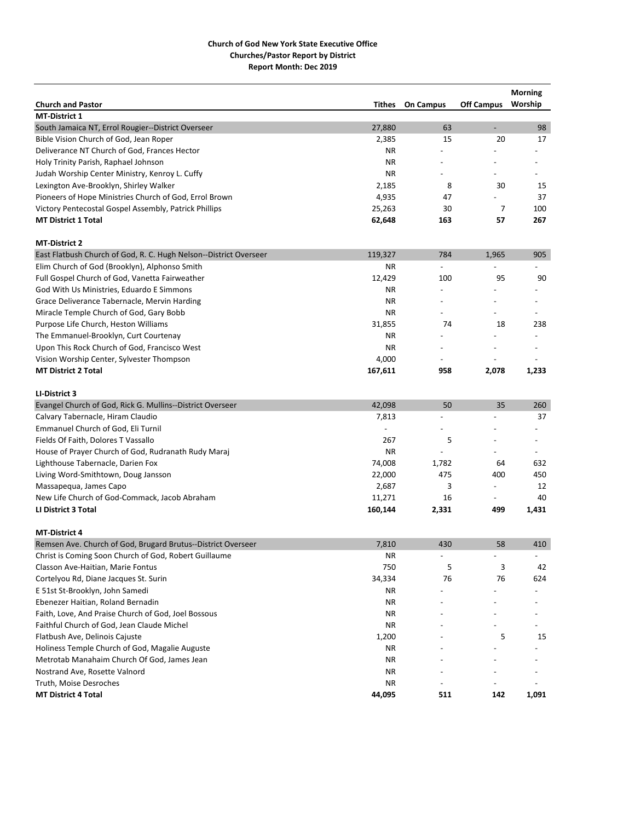|                                                                   |           |                          |                          | <b>Morning</b>           |
|-------------------------------------------------------------------|-----------|--------------------------|--------------------------|--------------------------|
| <b>Church and Pastor</b>                                          | Tithes    | <b>On Campus</b>         | Off Campus Worship       |                          |
| <b>MT-District 1</b>                                              |           |                          |                          |                          |
| South Jamaica NT, Errol Rougier--District Overseer                | 27,880    | 63                       | ÷,                       | 98                       |
| Bible Vision Church of God, Jean Roper                            | 2,385     | 15                       | 20                       | 17                       |
| Deliverance NT Church of God, Frances Hector                      | <b>NR</b> |                          |                          |                          |
| Holy Trinity Parish, Raphael Johnson                              | <b>NR</b> |                          |                          |                          |
| Judah Worship Center Ministry, Kenroy L. Cuffy                    | <b>NR</b> |                          |                          |                          |
| Lexington Ave-Brooklyn, Shirley Walker                            | 2,185     | 8                        | 30                       | 15                       |
| Pioneers of Hope Ministries Church of God, Errol Brown            | 4,935     | 47                       |                          | 37                       |
| Victory Pentecostal Gospel Assembly, Patrick Phillips             | 25,263    | 30                       | 7                        | 100                      |
| <b>MT District 1 Total</b>                                        | 62,648    | 163                      | 57                       | 267                      |
| <b>MT-District 2</b>                                              |           |                          |                          |                          |
| East Flatbush Church of God, R. C. Hugh Nelson--District Overseer | 119,327   | 784                      | 1,965                    | 905                      |
| Elim Church of God (Brooklyn), Alphonso Smith                     | ΝR        |                          |                          |                          |
| Full Gospel Church of God, Vanetta Fairweather                    | 12,429    | 100                      | 95                       | 90                       |
| God With Us Ministries, Eduardo E Simmons                         | <b>NR</b> | $\overline{a}$           |                          |                          |
| Grace Deliverance Tabernacle, Mervin Harding                      | <b>NR</b> | $\overline{a}$           |                          |                          |
| Miracle Temple Church of God, Gary Bobb                           | <b>NR</b> | $\overline{a}$           | $\overline{a}$           | $\overline{\phantom{a}}$ |
| Purpose Life Church, Heston Williams                              | 31,855    | 74                       | 18                       | 238                      |
| The Emmanuel-Brooklyn, Curt Courtenay                             | <b>NR</b> |                          |                          |                          |
| Upon This Rock Church of God, Francisco West                      | ΝR        |                          | $\overline{a}$           | $\overline{\phantom{a}}$ |
| Vision Worship Center, Sylvester Thompson                         | 4,000     |                          |                          |                          |
| <b>MT District 2 Total</b>                                        | 167,611   | 958                      | 2,078                    | 1,233                    |
|                                                                   |           |                          |                          |                          |
| LI-District 3                                                     |           |                          |                          |                          |
| Evangel Church of God, Rick G. Mullins--District Overseer         | 42,098    | 50                       | 35                       | 260                      |
| Calvary Tabernacle, Hiram Claudio                                 | 7,813     | $\overline{a}$           |                          | 37                       |
| Emmanuel Church of God, Eli Turnil                                |           |                          |                          |                          |
| Fields Of Faith, Dolores T Vassallo                               | 267       | 5                        |                          |                          |
| House of Prayer Church of God, Rudranath Rudy Maraj               | <b>NR</b> |                          |                          |                          |
| Lighthouse Tabernacle, Darien Fox                                 | 74,008    | 1,782                    | 64                       | 632                      |
| Living Word-Smithtown, Doug Jansson                               | 22,000    | 475                      | 400                      | 450                      |
| Massapequa, James Capo                                            | 2,687     | 3                        | $\overline{\phantom{0}}$ | 12                       |
| New Life Church of God-Commack, Jacob Abraham                     | 11,271    | 16                       |                          | 40                       |
| <b>LI District 3 Total</b>                                        | 160,144   | 2,331                    | 499                      | 1,431                    |
| <b>MT-District 4</b>                                              |           |                          |                          |                          |
| Remsen Ave. Church of God, Brugard Brutus--District Overseer      | 7,810     | 430                      | 58                       | 410                      |
| Christ is Coming Soon Church of God, Robert Guillaume             | ΝR        | $\overline{\phantom{a}}$ | $\overline{\phantom{0}}$ | $\blacksquare$           |
| Classon Ave-Haitian, Marie Fontus                                 | 750       | 5                        | 3                        | 42                       |
| Cortelyou Rd, Diane Jacques St. Surin                             | 34,334    | 76                       | 76                       | 624                      |
| E 51st St-Brooklyn, John Samedi                                   | ΝR        |                          |                          |                          |
| Ebenezer Haitian, Roland Bernadin                                 | ΝR        |                          |                          |                          |
| Faith, Love, And Praise Church of God, Joel Bossous               | ΝR        |                          |                          |                          |
| Faithful Church of God, Jean Claude Michel                        | ΝR        |                          |                          |                          |
| Flatbush Ave, Delinois Cajuste                                    | 1,200     |                          | 5                        | 15                       |
| Holiness Temple Church of God, Magalie Auguste                    | ΝR        |                          |                          |                          |
| Metrotab Manahaim Church Of God, James Jean                       | <b>NR</b> |                          |                          |                          |
| Nostrand Ave, Rosette Valnord                                     | <b>NR</b> |                          |                          |                          |
| Truth, Moise Desroches                                            | ΝR        |                          |                          |                          |
| <b>MT District 4 Total</b>                                        | 44,095    | 511                      | 142                      | 1,091                    |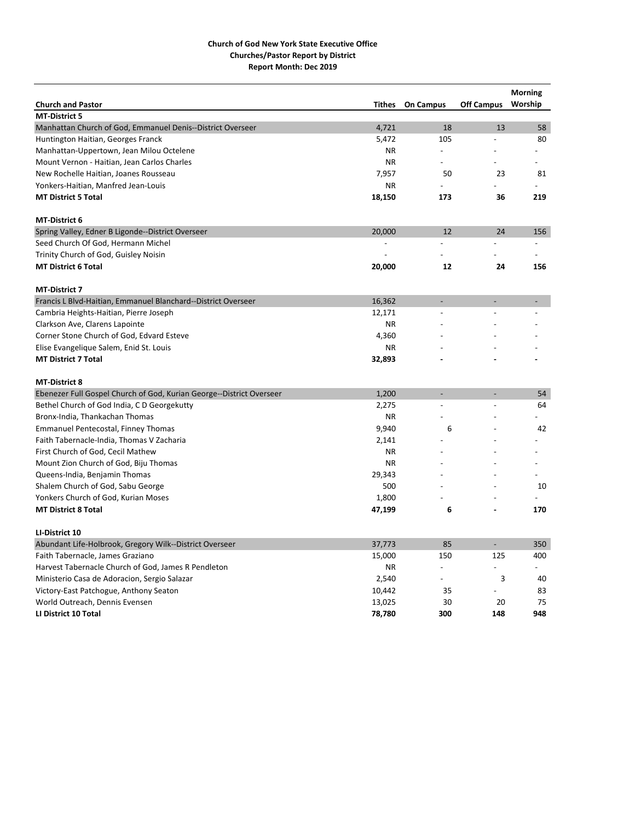| <b>Church and Pastor</b>                                                                | <b>Tithes</b>            | <b>On Campus</b>         | <b>Off Campus</b>            | <b>Morning</b><br>Worship |
|-----------------------------------------------------------------------------------------|--------------------------|--------------------------|------------------------------|---------------------------|
| <b>MT-District 5</b>                                                                    |                          |                          |                              |                           |
| Manhattan Church of God, Emmanuel Denis--District Overseer                              | 4,721                    | 18                       | 13                           | 58                        |
| Huntington Haitian, Georges Franck                                                      | 5,472                    | 105                      |                              | 80                        |
| Manhattan-Uppertown, Jean Milou Octelene                                                | <b>NR</b>                |                          |                              |                           |
| Mount Vernon - Haitian, Jean Carlos Charles                                             | <b>NR</b>                | $\overline{a}$           |                              |                           |
| New Rochelle Haitian, Joanes Rousseau                                                   | 7,957                    | 50                       | 23                           | 81                        |
| Yonkers-Haitian, Manfred Jean-Louis                                                     | <b>NR</b>                |                          |                              |                           |
| <b>MT District 5 Total</b>                                                              | 18,150                   | 173                      | 36                           | 219                       |
|                                                                                         |                          |                          |                              |                           |
| <b>MT-District 6</b>                                                                    |                          |                          |                              |                           |
| Spring Valley, Edner B Ligonde--District Overseer                                       | 20,000                   | 12                       | 24                           | 156                       |
| Seed Church Of God, Hermann Michel                                                      | $\overline{\phantom{a}}$ | $\overline{a}$           | ÷                            | $\overline{a}$            |
| Trinity Church of God, Guisley Noisin                                                   |                          |                          |                              |                           |
| <b>MT District 6 Total</b>                                                              | 20,000                   | 12                       | 24                           | 156                       |
| <b>MT-District 7</b>                                                                    |                          |                          |                              |                           |
| Francis L Blvd-Haitian, Emmanuel Blanchard--District Overseer                           | 16,362                   |                          |                              |                           |
| Cambria Heights-Haitian, Pierre Joseph                                                  | 12,171                   |                          |                              |                           |
| Clarkson Ave, Clarens Lapointe                                                          | <b>NR</b>                |                          |                              |                           |
| Corner Stone Church of God, Edvard Esteve                                               | 4,360                    |                          |                              |                           |
| Elise Evangelique Salem, Enid St. Louis                                                 | <b>NR</b>                |                          |                              |                           |
| <b>MT District 7 Total</b>                                                              | 32,893                   |                          |                              |                           |
|                                                                                         |                          |                          |                              |                           |
| <b>MT-District 8</b>                                                                    | 1,200                    |                          |                              | 54                        |
| Ebenezer Full Gospel Church of God, Kurian George--District Overseer                    |                          |                          |                              | 64                        |
| Bethel Church of God India, C D Georgekutty<br>Bronx-India, Thankachan Thomas           | 2,275<br><b>NR</b>       |                          |                              |                           |
|                                                                                         | 9,940                    | 6                        |                              | 42                        |
| <b>Emmanuel Pentecostal, Finney Thomas</b><br>Faith Tabernacle-India, Thomas V Zacharia | 2,141                    |                          |                              |                           |
| First Church of God, Cecil Mathew                                                       | <b>NR</b>                |                          |                              |                           |
|                                                                                         | <b>NR</b>                |                          |                              |                           |
| Mount Zion Church of God, Biju Thomas                                                   |                          |                          |                              |                           |
| Queens-India, Benjamin Thomas<br>Shalem Church of God, Sabu George                      | 29,343<br>500            |                          |                              | 10                        |
|                                                                                         |                          |                          |                              |                           |
| Yonkers Church of God, Kurian Moses<br><b>MT District 8 Total</b>                       | 1,800                    |                          |                              | 170                       |
|                                                                                         | 47,199                   | 6                        |                              |                           |
| LI-District 10                                                                          |                          |                          |                              |                           |
| Abundant Life-Holbrook, Gregory Wilk--District Overseer                                 | 37,773                   | 85                       | $\qquad \qquad \blacksquare$ | 350                       |
| Faith Tabernacle, James Graziano                                                        | 15,000                   | 150                      | 125                          | 400                       |
| Harvest Tabernacle Church of God, James R Pendleton                                     | ΝR                       | $\overline{\phantom{0}}$ |                              |                           |
| Ministerio Casa de Adoracion, Sergio Salazar                                            | 2,540                    |                          | 3                            | 40                        |
| Victory-East Patchogue, Anthony Seaton                                                  | 10,442                   | 35                       |                              | 83                        |
| World Outreach, Dennis Evensen                                                          | 13,025                   | 30                       | 20                           | 75                        |
| LI District 10 Total                                                                    | 78,780                   | 300                      | 148                          | 948                       |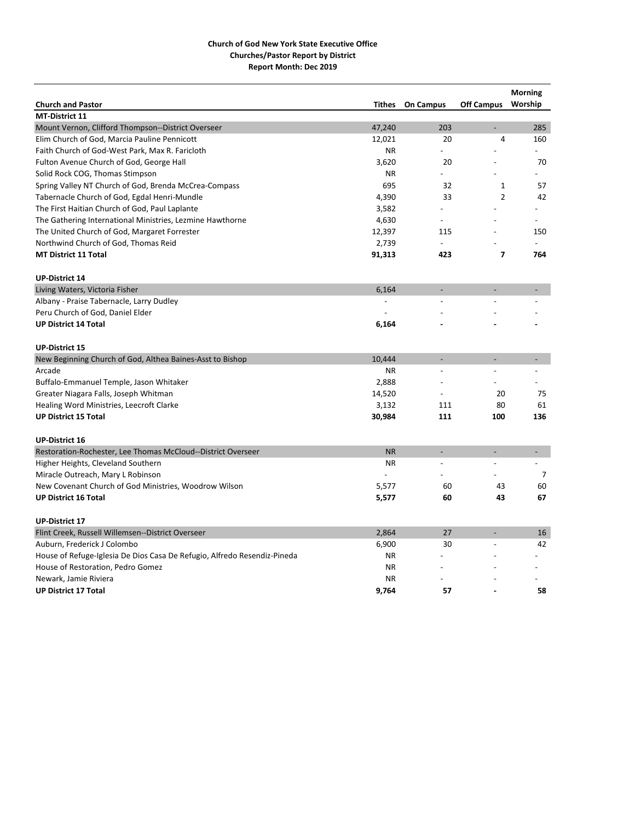|                                                                          |                |                          |                          | <b>Morning</b> |
|--------------------------------------------------------------------------|----------------|--------------------------|--------------------------|----------------|
| <b>Church and Pastor</b>                                                 | <b>Tithes</b>  | <b>On Campus</b>         | <b>Off Campus</b>        | Worship        |
| MT-District 11                                                           |                |                          |                          |                |
| Mount Vernon, Clifford Thompson--District Overseer                       | 47,240         | 203                      | L,                       | 285            |
| Elim Church of God, Marcia Pauline Pennicott                             | 12,021         | 20                       | 4                        | 160            |
| Faith Church of God-West Park, Max R. Faricloth                          | <b>NR</b>      | $\overline{\phantom{0}}$ |                          |                |
| Fulton Avenue Church of God, George Hall                                 | 3,620          | 20                       |                          | 70             |
| Solid Rock COG, Thomas Stimpson                                          | <b>NR</b>      |                          |                          |                |
| Spring Valley NT Church of God, Brenda McCrea-Compass                    | 695            | 32                       | $\mathbf{1}$             | 57             |
| Tabernacle Church of God, Egdal Henri-Mundle                             | 4,390          | 33                       | $\overline{2}$           | 42             |
| The First Haitian Church of God, Paul Laplante                           | 3,582          |                          |                          |                |
| The Gathering International Ministries, Lezmine Hawthorne                | 4,630          | $\overline{\phantom{a}}$ |                          |                |
| The United Church of God, Margaret Forrester                             | 12,397         | 115                      |                          | 150            |
| Northwind Church of God, Thomas Reid                                     | 2,739          |                          |                          |                |
| <b>MT District 11 Total</b>                                              | 91,313         | 423                      | $\overline{\phantom{a}}$ | 764            |
| <b>UP-District 14</b>                                                    |                |                          |                          |                |
| Living Waters, Victoria Fisher                                           | 6,164          |                          | $\overline{\phantom{a}}$ |                |
| Albany - Praise Tabernacle, Larry Dudley                                 | $\overline{a}$ | $\overline{a}$           |                          |                |
| Peru Church of God, Daniel Elder                                         |                |                          |                          |                |
| <b>UP District 14 Total</b>                                              | 6,164          |                          |                          |                |
| <b>UP-District 15</b>                                                    |                |                          |                          |                |
| New Beginning Church of God, Althea Baines-Asst to Bishop                | 10,444         | $\overline{\phantom{a}}$ | $\overline{a}$           | $\overline{a}$ |
| Arcade                                                                   | <b>NR</b>      | $\overline{a}$           | $\overline{a}$           | $\overline{a}$ |
| Buffalo-Emmanuel Temple, Jason Whitaker                                  | 2,888          |                          |                          |                |
| Greater Niagara Falls, Joseph Whitman                                    | 14,520         |                          | 20                       | 75             |
| Healing Word Ministries, Leecroft Clarke                                 | 3,132          | 111                      | 80                       | 61             |
| <b>UP District 15 Total</b>                                              | 30,984         | 111                      | 100                      | 136            |
| <b>UP-District 16</b>                                                    |                |                          |                          |                |
| Restoration-Rochester, Lee Thomas McCloud--District Overseer             | <b>NR</b>      |                          | $\overline{a}$           | $\blacksquare$ |
| Higher Heights, Cleveland Southern                                       | <b>NR</b>      | $\overline{a}$           |                          |                |
| Miracle Outreach, Mary L Robinson                                        |                |                          |                          | $\overline{7}$ |
| New Covenant Church of God Ministries, Woodrow Wilson                    | 5,577          | 60                       | 43                       | 60             |
| <b>UP District 16 Total</b>                                              | 5,577          | 60                       | 43                       | 67             |
| <b>UP-District 17</b>                                                    |                |                          |                          |                |
| Flint Creek, Russell Willemsen--District Overseer                        | 2,864          | 27                       |                          | 16             |
| Auburn, Frederick J Colombo                                              | 6,900          | 30                       |                          | 42             |
| House of Refuge-Iglesia De Dios Casa De Refugio, Alfredo Resendiz-Pineda | <b>NR</b>      |                          |                          |                |
| House of Restoration, Pedro Gomez                                        | <b>NR</b>      |                          |                          |                |
| Newark, Jamie Riviera                                                    | <b>NR</b>      |                          |                          |                |
| <b>UP District 17 Total</b>                                              | 9,764          | 57                       |                          | 58             |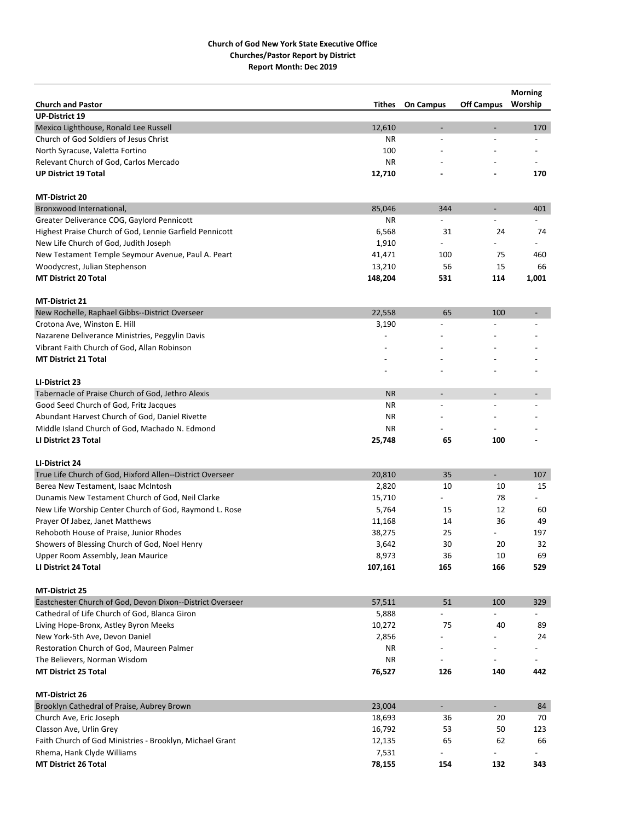|                                                           |           |                          |                              | <b>Morning</b> |
|-----------------------------------------------------------|-----------|--------------------------|------------------------------|----------------|
| <b>Church and Pastor</b>                                  | Tithes    | <b>On Campus</b>         | <b>Off Campus</b>            | Worship        |
| <b>UP-District 19</b>                                     |           |                          |                              |                |
| Mexico Lighthouse, Ronald Lee Russell                     | 12,610    | L.                       | $\qquad \qquad \blacksquare$ | 170            |
| Church of God Soldiers of Jesus Christ                    | ΝR        | $\overline{a}$           |                              |                |
| North Syracuse, Valetta Fortino                           | 100       |                          |                              |                |
| Relevant Church of God, Carlos Mercado                    | <b>NR</b> |                          |                              |                |
| <b>UP District 19 Total</b>                               | 12,710    |                          |                              | 170            |
|                                                           |           |                          |                              |                |
| <b>MT-District 20</b>                                     |           |                          |                              |                |
| Bronxwood International,                                  | 85,046    | 344                      | $\overline{\phantom{a}}$     | 401            |
| Greater Deliverance COG, Gaylord Pennicott                | ΝR        |                          |                              |                |
| Highest Praise Church of God, Lennie Garfield Pennicott   | 6,568     | 31                       | 24                           | 74             |
| New Life Church of God, Judith Joseph                     | 1,910     |                          |                              |                |
| New Testament Temple Seymour Avenue, Paul A. Peart        | 41,471    | 100                      | 75                           | 460            |
| Woodycrest, Julian Stephenson                             | 13,210    | 56                       | 15                           | 66             |
| <b>MT District 20 Total</b>                               | 148,204   | 531                      | 114                          | 1,001          |
| MT-District 21                                            |           |                          |                              |                |
| New Rochelle, Raphael Gibbs--District Overseer            | 22,558    | 65                       | 100                          |                |
| Crotona Ave, Winston E. Hill                              | 3,190     |                          |                              |                |
| Nazarene Deliverance Ministries, Peggylin Davis           |           |                          |                              |                |
| Vibrant Faith Church of God, Allan Robinson               |           |                          |                              |                |
| <b>MT District 21 Total</b>                               |           |                          |                              |                |
|                                                           |           |                          |                              |                |
| LI-District 23                                            |           |                          |                              |                |
| Tabernacle of Praise Church of God, Jethro Alexis         | <b>NR</b> | $\overline{\phantom{a}}$ | $\overline{a}$               |                |
| Good Seed Church of God, Fritz Jacques                    | <b>NR</b> | $\overline{a}$           | $\overline{a}$               |                |
| Abundant Harvest Church of God, Daniel Rivette            | <b>NR</b> |                          |                              |                |
| Middle Island Church of God, Machado N. Edmond            | <b>NR</b> |                          |                              |                |
| LI District 23 Total                                      | 25,748    | 65                       | 100                          |                |
| LI-District 24                                            |           |                          |                              |                |
| True Life Church of God, Hixford Allen--District Overseer | 20,810    | 35                       | $\overline{\phantom{0}}$     | 107            |
| Berea New Testament, Isaac McIntosh                       | 2,820     | 10                       | 10                           | 15             |
| Dunamis New Testament Church of God, Neil Clarke          | 15,710    | $\overline{\phantom{0}}$ | 78                           |                |
| New Life Worship Center Church of God, Raymond L. Rose    | 5,764     | 15                       | 12                           | 60             |
| Prayer Of Jabez, Janet Matthews                           | 11,168    | 14                       | 36                           | 49             |
| Rehoboth House of Praise, Junior Rhodes                   | 38,275    | 25                       |                              | 197            |
| Showers of Blessing Church of God, Noel Henry             | 3,642     | 30                       | 20                           | 32             |
| Upper Room Assembly, Jean Maurice                         | 8,973     | 36                       | 10                           | 69             |
| LI District 24 Total                                      | 107,161   | 165                      | 166                          | 529            |
|                                                           |           |                          |                              |                |
| MT-District 25                                            |           |                          |                              |                |
| Eastchester Church of God, Devon Dixon--District Overseer | 57,511    | 51                       | 100                          | 329            |
| Cathedral of Life Church of God, Blanca Giron             | 5,888     |                          |                              |                |
| Living Hope-Bronx, Astley Byron Meeks                     | 10,272    | 75                       | 40                           | 89             |
| New York-5th Ave, Devon Daniel                            | 2,856     |                          |                              | 24             |
| Restoration Church of God, Maureen Palmer                 | ΝR        | $\overline{\phantom{a}}$ |                              |                |
| The Believers, Norman Wisdom                              | ΝR        |                          |                              |                |
| <b>MT District 25 Total</b>                               | 76,527    | 126                      | 140                          | 442            |
| MT-District 26                                            |           |                          |                              |                |
| Brooklyn Cathedral of Praise, Aubrey Brown                | 23,004    | $\overline{\phantom{a}}$ | $\blacksquare$               | 84             |
| Church Ave, Eric Joseph                                   | 18,693    | 36                       | 20                           | 70             |
| Classon Ave, Urlin Grey                                   | 16,792    | 53                       | 50                           | 123            |
| Faith Church of God Ministries - Brooklyn, Michael Grant  | 12,135    | 65                       | 62                           | 66             |
| Rhema, Hank Clyde Williams                                | 7,531     |                          |                              |                |
| <b>MT District 26 Total</b>                               | 78,155    | 154                      | 132                          | 343            |